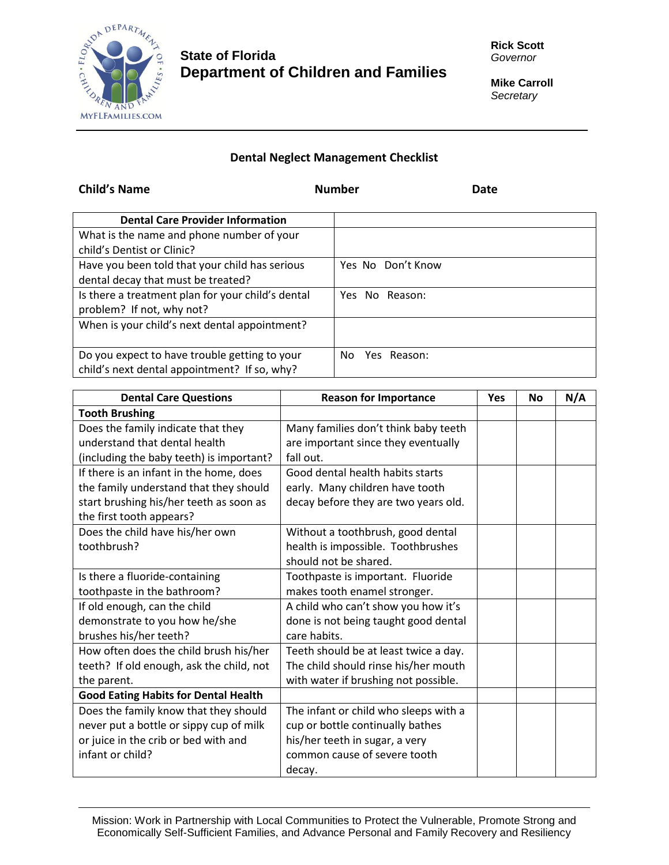

## **State of Florida Department of Children and Families**

**Mike Carroll** *Secretary*

## **Dental Neglect Management Checklist**

| <b>Child's Name</b>                               | <b>Number</b><br>Date |
|---------------------------------------------------|-----------------------|
| <b>Dental Care Provider Information</b>           |                       |
| What is the name and phone number of your         |                       |
| child's Dentist or Clinic?                        |                       |
| Have you been told that your child has serious    | Yes No Don't Know     |
| dental decay that must be treated?                |                       |
| Is there a treatment plan for your child's dental | Yes No Reason:        |
| problem? If not, why not?                         |                       |
| When is your child's next dental appointment?     |                       |
|                                                   |                       |
| Do you expect to have trouble getting to your     | Yes Reason:<br>No.    |
| child's next dental appointment? If so, why?      |                       |

| <b>Dental Care Questions</b>                | <b>Reason for Importance</b>          | <b>Yes</b> | No | N/A |
|---------------------------------------------|---------------------------------------|------------|----|-----|
| <b>Tooth Brushing</b>                       |                                       |            |    |     |
| Does the family indicate that they          | Many families don't think baby teeth  |            |    |     |
| understand that dental health               | are important since they eventually   |            |    |     |
| (including the baby teeth) is important?    | fall out.                             |            |    |     |
| If there is an infant in the home, does     | Good dental health habits starts      |            |    |     |
| the family understand that they should      | early. Many children have tooth       |            |    |     |
| start brushing his/her teeth as soon as     | decay before they are two years old.  |            |    |     |
| the first tooth appears?                    |                                       |            |    |     |
| Does the child have his/her own             | Without a toothbrush, good dental     |            |    |     |
| toothbrush?                                 | health is impossible. Toothbrushes    |            |    |     |
|                                             | should not be shared.                 |            |    |     |
| Is there a fluoride-containing              | Toothpaste is important. Fluoride     |            |    |     |
| toothpaste in the bathroom?                 | makes tooth enamel stronger.          |            |    |     |
| If old enough, can the child                | A child who can't show you how it's   |            |    |     |
| demonstrate to you how he/she               | done is not being taught good dental  |            |    |     |
| brushes his/her teeth?                      | care habits.                          |            |    |     |
| How often does the child brush his/her      | Teeth should be at least twice a day. |            |    |     |
| teeth? If old enough, ask the child, not    | The child should rinse his/her mouth  |            |    |     |
| the parent.                                 | with water if brushing not possible.  |            |    |     |
| <b>Good Eating Habits for Dental Health</b> |                                       |            |    |     |
| Does the family know that they should       | The infant or child who sleeps with a |            |    |     |
| never put a bottle or sippy cup of milk     | cup or bottle continually bathes      |            |    |     |
| or juice in the crib or bed with and        | his/her teeth in sugar, a very        |            |    |     |
| infant or child?                            | common cause of severe tooth          |            |    |     |
|                                             | decay.                                |            |    |     |